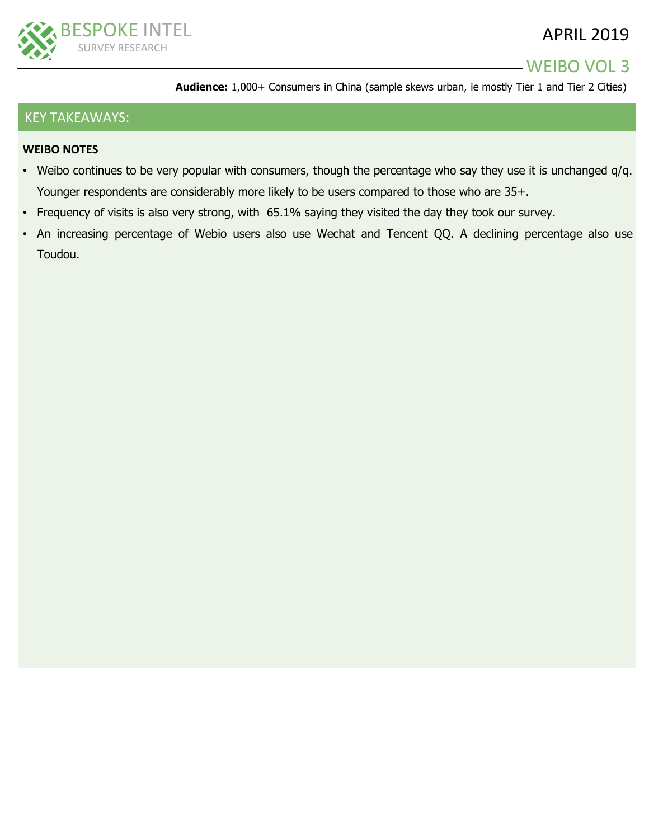

## WEIBO VOL 3

**Audience:** 1,000+ Consumers in China (sample skews urban, ie mostly Tier 1 and Tier 2 Cities)

#### KEY TAKEAWAYS:

#### **WEIBO NOTES**

- Weibo continues to be very popular with consumers, though the percentage who say they use it is unchanged q/q. Younger respondents are considerably more likely to be users compared to those who are 35+.
- Frequency of visits is also very strong, with 65.1% saying they visited the day they took our survey.
- An increasing percentage of Webio users also use Wechat and Tencent QQ. A declining percentage also use Toudou.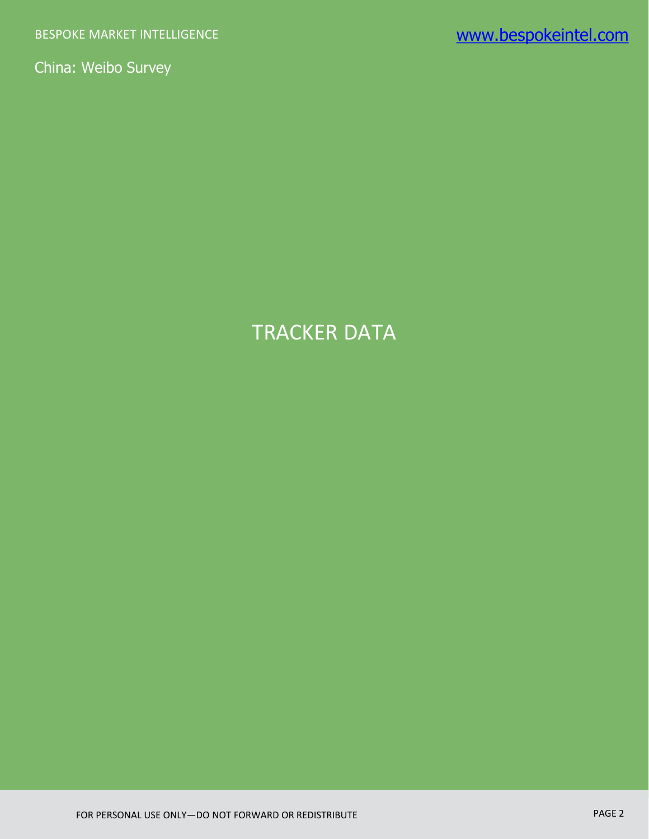# TRACKER DATA

FOR PERSONAL USE ONLY—DO NOT FORWARD OR REDISTRIBUTE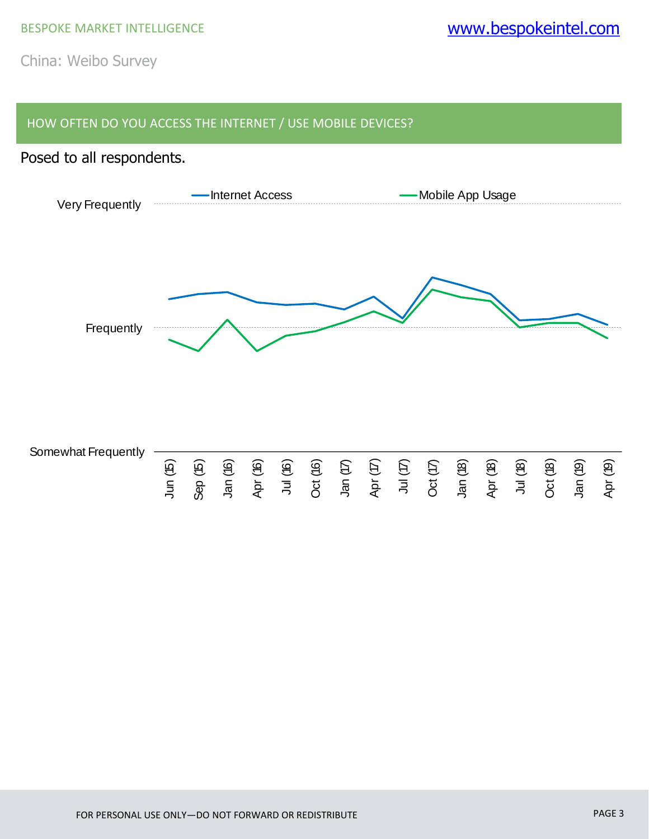#### HOW OFTEN DO YOU ACCESS THE INTERNET / USE MOBILE DEVICES?

### Posed to all respondents.

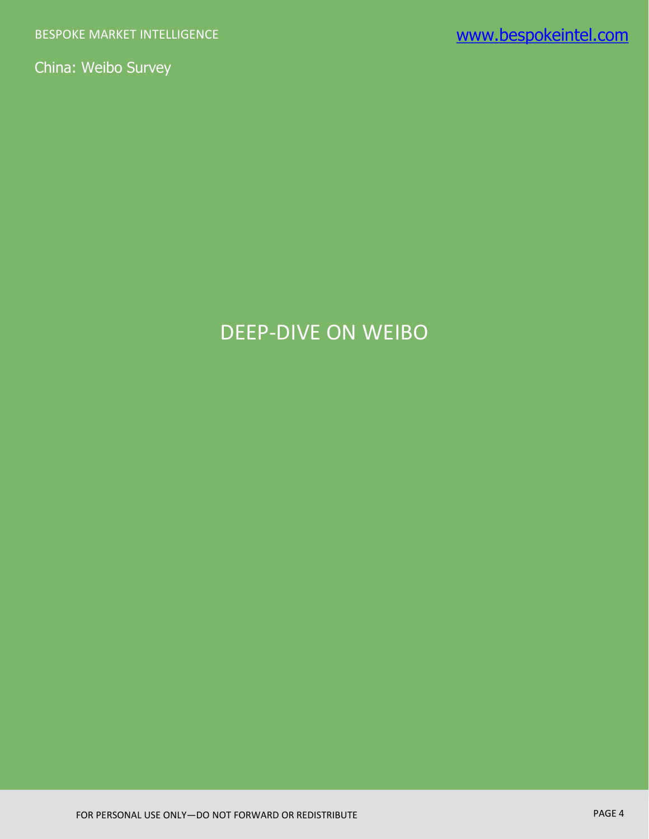# DEEP-DIVE ON WEIBO

FOR PERSONAL USE ONLY—DO NOT FORWARD OR REDISTRIBUTE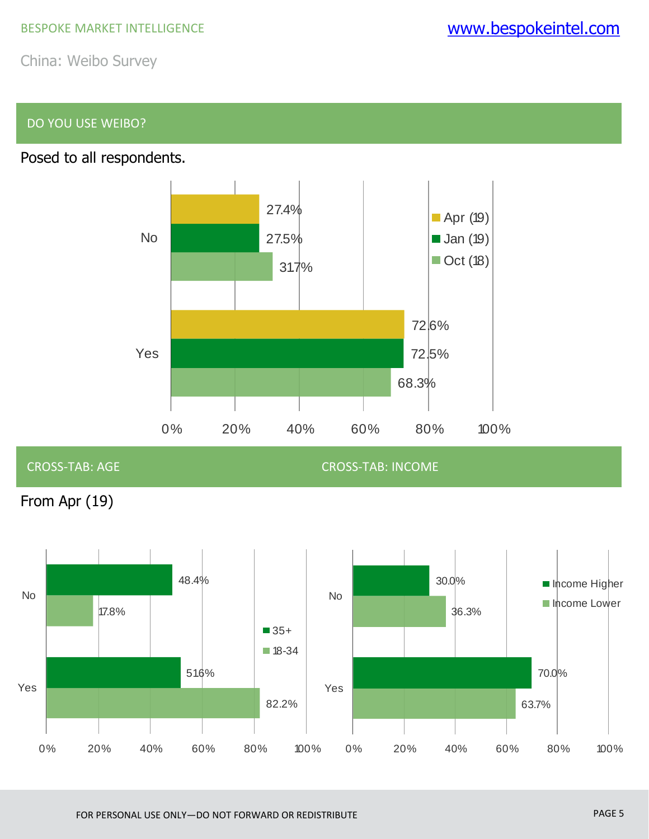### DO YOU USE WEIBO?





CROSS-TAB: AGE CROSS-TAB: INCOME

From Apr (19)

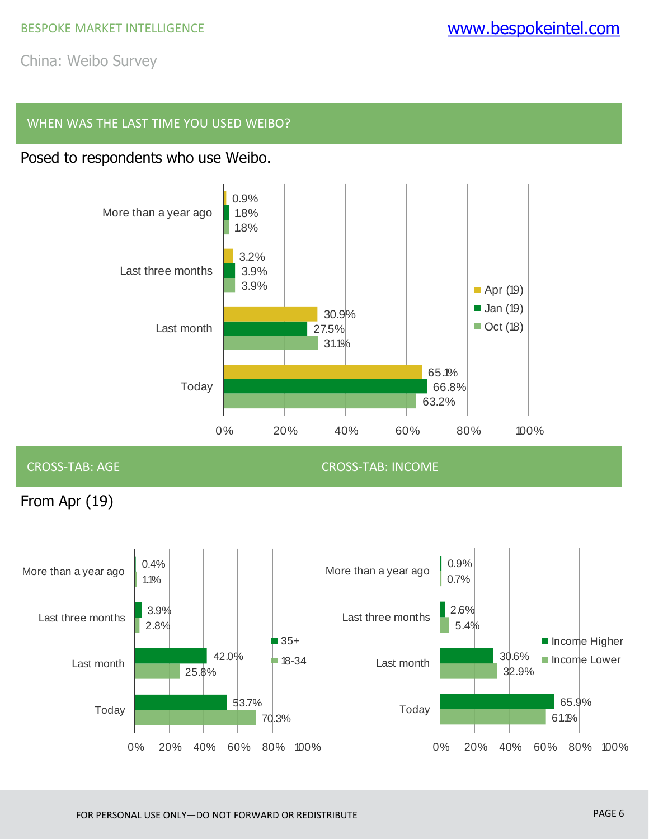#### WHEN WAS THE LAST TIME YOU USED WEIBO?

# Posed to respondents who use Weibo.



CROSS-TAB: AGE CROSS-TAB: INCOME

From Apr (19)

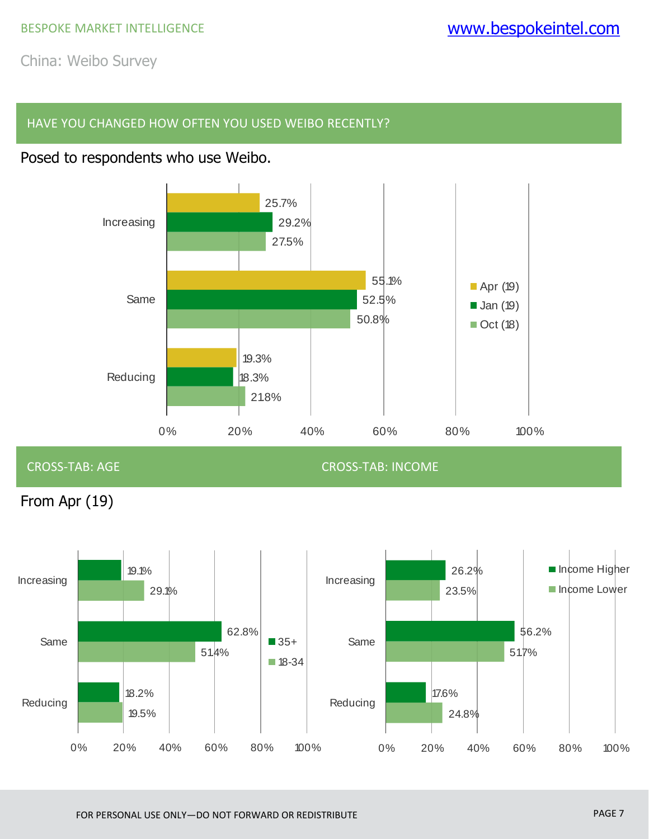#### HAVE YOU CHANGED HOW OFTEN YOU USED WEIBO RECENTLY?

### Posed to respondents who use Weibo.



#### CROSS-TAB: AGE CROSS-TAB: INCOME

From Apr (19)